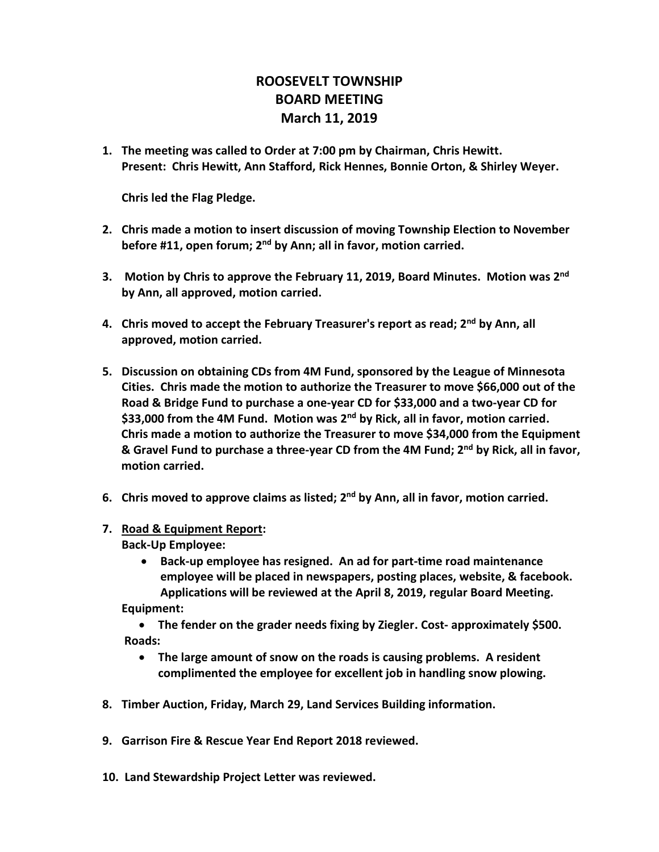## **ROOSEVELT TOWNSHIP BOARD MEETING March 11, 2019**

**1. The meeting was called to Order at 7:00 pm by Chairman, Chris Hewitt. Present: Chris Hewitt, Ann Stafford, Rick Hennes, Bonnie Orton, & Shirley Weyer.** 

**Chris led the Flag Pledge.**

- **2. Chris made a motion to insert discussion of moving Township Election to November before #11, open forum; 2nd by Ann; all in favor, motion carried.**
- **3. Motion by Chris to approve the February 11, 2019, Board Minutes. Motion was 2nd by Ann, all approved, motion carried.**
- **4. Chris moved to accept the February Treasurer's report as read; 2nd by Ann, all approved, motion carried.**
- **5. Discussion on obtaining CDs from 4M Fund, sponsored by the League of Minnesota Cities. Chris made the motion to authorize the Treasurer to move \$66,000 out of the Road & Bridge Fund to purchase a one-year CD for \$33,000 and a two-year CD for \$33,000 from the 4M Fund. Motion was 2nd by Rick, all in favor, motion carried. Chris made a motion to authorize the Treasurer to move \$34,000 from the Equipment & Gravel Fund to purchase a three-year CD from the 4M Fund; 2nd by Rick, all in favor, motion carried.**
- **6. Chris moved to approve claims as listed; 2nd by Ann, all in favor, motion carried.**
- **7. Road & Equipment Report: Back-Up Employee:**
	- **Back-up employee has resigned. An ad for part-time road maintenance employee will be placed in newspapers, posting places, website, & facebook. Applications will be reviewed at the April 8, 2019, regular Board Meeting. Equipment:**

• **The fender on the grader needs fixing by Ziegler. Cost- approximately \$500. Roads:** 

- **The large amount of snow on the roads is causing problems. A resident complimented the employee for excellent job in handling snow plowing.**
- **8. Timber Auction, Friday, March 29, Land Services Building information.**
- **9. Garrison Fire & Rescue Year End Report 2018 reviewed.**
- **10. Land Stewardship Project Letter was reviewed.**